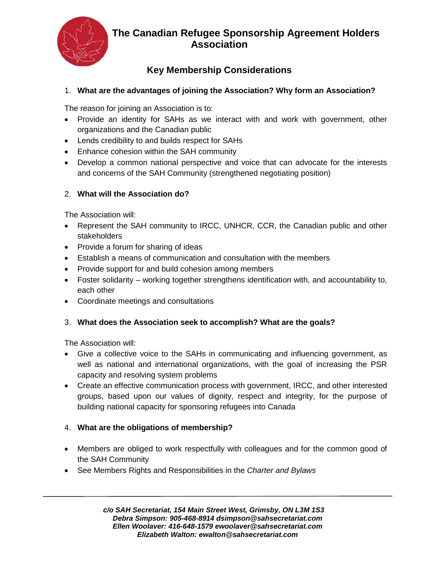

## **The Canadian Refugee Sponsorship Agreement Holders Association**

# **Key Membership Considerations**

### 1. **What are the advantages of joining the Association? Why form an Association?**

The reason for joining an Association is to:

- Provide an identity for SAHs as we interact with and work with government, other organizations and the Canadian public
- Lends credibility to and builds respect for SAHs
- Enhance cohesion within the SAH community
- Develop a common national perspective and voice that can advocate for the interests and concerns of the SAH Community (strengthened negotiating position)

#### 2. **What will the Association do?**

The Association will:

- Represent the SAH community to IRCC, UNHCR, CCR, the Canadian public and other stakeholders
- Provide a forum for sharing of ideas
- Establish a means of communication and consultation with the members
- Provide support for and build cohesion among members
- Foster solidarity working together strengthens identification with, and accountability to, each other
- Coordinate meetings and consultations

#### 3. **What does the Association seek to accomplish? What are the goals?**

The Association will:

- Give a collective voice to the SAHs in communicating and influencing government, as well as national and international organizations, with the goal of increasing the PSR capacity and resolving system problems
- Create an effective communication process with government, IRCC, and other interested groups, based upon our values of dignity, respect and integrity, for the purpose of building national capacity for sponsoring refugees into Canada

#### 4. **What are the obligations of membership?**

- Members are obliged to work respectfully with colleagues and for the common good of the SAH Community
- See Members Rights and Responsibilities in the *Charter and Bylaws*

*c/o SAH Secretariat, 154 Main Street West, Grimsby, ON L3M 1S3 Debra Simpson: 905-468-8914 dsimpson@sahsecretariat.com Ellen Woolaver: 416-648-1579 ewoolaver@sahsecretariat.com Elizabeth Walton: ewalton@sahsecretariat.com*